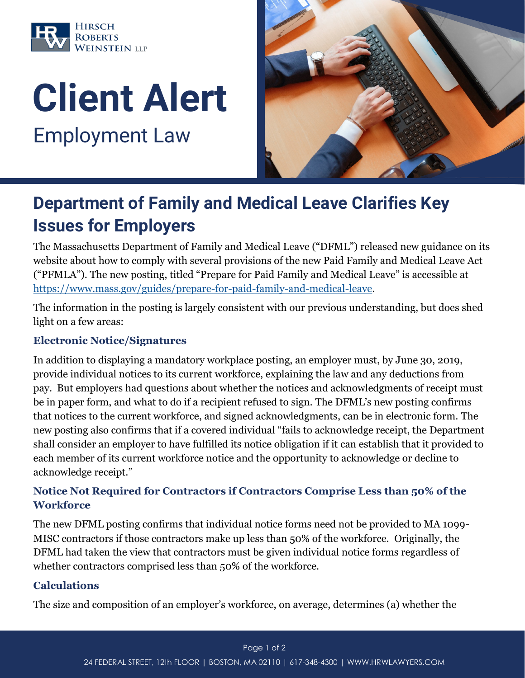

# Client Alert

Employment Law



## Department of Family and Medical Leave Clarifies Key Issues for Employers

The Massachusetts Department of Family and Medical Leave ("DFML") released new guidance on its website about how to comply with several provisions of the new Paid Family and Medical Leave Act ("PFMLA"). The new posting, titled "Prepare for Paid Family and Medical Leave" is accessible at [https://www.mass.gov/guides/prepare-for-paid-family-and-medical-leave.](https://www.mass.gov/guides/prepare-for-paid-family-and-medical-leave)

The information in the posting is largely consistent with our previous understanding, but does shed light on a few areas:

#### **Electronic Notice/Signatures**

In addition to displaying a mandatory workplace posting, an employer must, by June 30, 2019, provide individual notices to its current workforce, explaining the law and any deductions from pay. But employers had questions about whether the notices and acknowledgments of receipt must be in paper form, and what to do if a recipient refused to sign. The DFML's new posting confirms that notices to the current workforce, and signed acknowledgments, can be in electronic form. The new posting also confirms that if a covered individual "fails to acknowledge receipt, the Department shall consider an employer to have fulfilled its notice obligation if it can establish that it provided to each member of its current workforce notice and the opportunity to acknowledge or decline to acknowledge receipt."

#### **Notice Not Required for Contractors if Contractors Comprise Less than 50% of the Workforce**

The new DFML posting confirms that individual notice forms need not be provided to MA 1099- MISC contractors if those contractors make up less than 50% of the workforce. Originally, the DFML had taken the view that contractors must be given individual notice forms regardless of whether contractors comprised less than 50% of the workforce.

#### **Calculations**

The size and composition of an employer's workforce, on average, determines (a) whether the

#### Page 1 of 2